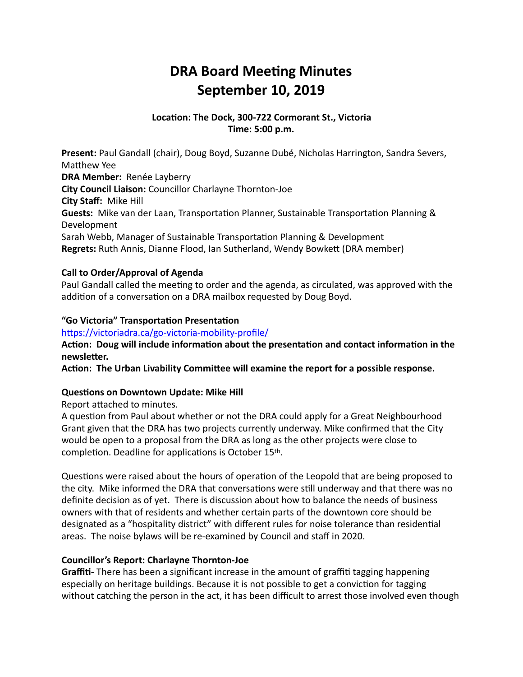# **DRA Board Meeting Minutes September 10, 2019**

# Location: The Dock, 300-722 Cormorant St., Victoria **Time: 5:00 p.m.**

**Present:** Paul Gandall (chair), Doug Boyd, Suzanne Dubé, Nicholas Harrington, Sandra Severs, Matthew Yee **DRA Member:** Renée Layberry **City Council Liaison:** Councillor Charlayne Thornton-Joe **City Staff: Mike Hill Guests:** Mike van der Laan, Transportation Planner, Sustainable Transportation Planning & Development Sarah Webb, Manager of Sustainable Transportation Planning & Development **Regrets:** Ruth Annis, Dianne Flood, Ian Sutherland, Wendy Bowkett (DRA member)

# **Call to Order/Approval of Agenda**

Paul Gandall called the meeting to order and the agenda, as circulated, was approved with the addition of a conversation on a DRA mailbox requested by Doug Boyd.

# "Go Victoria" Transportation Presentation

https://victoriadra.ca/go-victoria-mobility-profile/

Action: Doug will include information about the presentation and contact information in the **newsletter.** 

Action: The Urban Livability Committee will examine the report for a possible response.

# **Questions on Downtown Update: Mike Hill**

Report attached to minutes.

A question from Paul about whether or not the DRA could apply for a Great Neighbourhood Grant given that the DRA has two projects currently underway. Mike confirmed that the City would be open to a proposal from the DRA as long as the other projects were close to completion. Deadline for applications is October 15th.

Questions were raised about the hours of operation of the Leopold that are being proposed to the city. Mike informed the DRA that conversations were still underway and that there was no definite decision as of yet. There is discussion about how to balance the needs of business owners with that of residents and whether certain parts of the downtown core should be designated as a "hospitality district" with different rules for noise tolerance than residential areas. The noise bylaws will be re-examined by Council and staff in 2020.

### **Councillor's Report: Charlayne Thornton-Joe**

**Graffiti-** There has been a significant increase in the amount of graffiti tagging happening especially on heritage buildings. Because it is not possible to get a conviction for tagging without catching the person in the act, it has been difficult to arrest those involved even though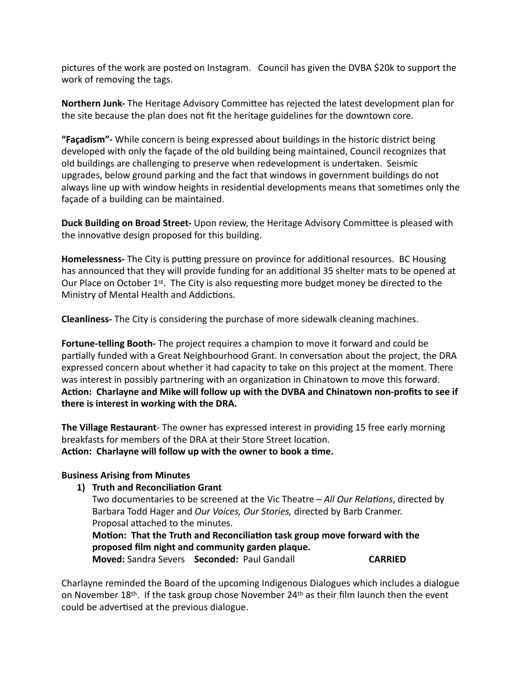pictures of the work are posted on Instagram. Council has given the DVBA \$20k to support the work of removing the tags.

**Northern Junk-** The Heritage Advisory Committee has rejected the latest development plan for the site because the plan does not fit the heritage guidelines for the downtown core.

**"Facadism"**- While concern is being expressed about buildings in the historic district being developed with only the façade of the old building being maintained, Council recognizes that old buildings are challenging to preserve when redevelopment is undertaken. Seismic upgrades, below ground parking and the fact that windows in government buildings do not always line up with window heights in residential developments means that sometimes only the façade of a building can be maintained.

**Duck Building on Broad Street-** Upon review, the Heritage Advisory Committee is pleased with the innovative design proposed for this building.

**Homelessness-** The City is putting pressure on province for additional resources. BC Housing has announced that they will provide funding for an additional 35 shelter mats to be opened at Our Place on October  $1<sup>st</sup>$ . The City is also requesting more budget money be directed to the Ministry of Mental Health and Addictions.

**Cleanliness-** The City is considering the purchase of more sidewalk cleaning machines.

**Fortune-telling Booth-** The project requires a champion to move it forward and could be partially funded with a Great Neighbourhood Grant. In conversation about the project, the DRA expressed concern about whether it had capacity to take on this project at the moment. There was interest in possibly partnering with an organization in Chinatown to move this forward. Action: Charlayne and Mike will follow up with the DVBA and Chinatown non-profits to see if there is interest in working with the DRA.

**The Village Restaurant**- The owner has expressed interest in providing 15 free early morning breakfasts for members of the DRA at their Store Street location. Action: Charlayne will follow up with the owner to book a time.

### **Business Arising from Minutes**

#### **1) Truth and Reconciliation Grant**

Two documentaries to be screened at the Vic Theatre – *All Our Relations*, directed by Barbara Todd Hager and *Our Voices, Our Stories,* directed by Barb Cranmer. Proposal attached to the minutes.

Motion: That the Truth and Reconciliation task group move forward with the proposed film night and community garden plaque. **Moved:** Sandra Severs **Seconded:** Paul Gandall **CARRIED** 

Charlayne reminded the Board of the upcoming Indigenous Dialogues which includes a dialogue on November 18<sup>th</sup>. If the task group chose November 24<sup>th</sup> as their film launch then the event could be advertised at the previous dialogue.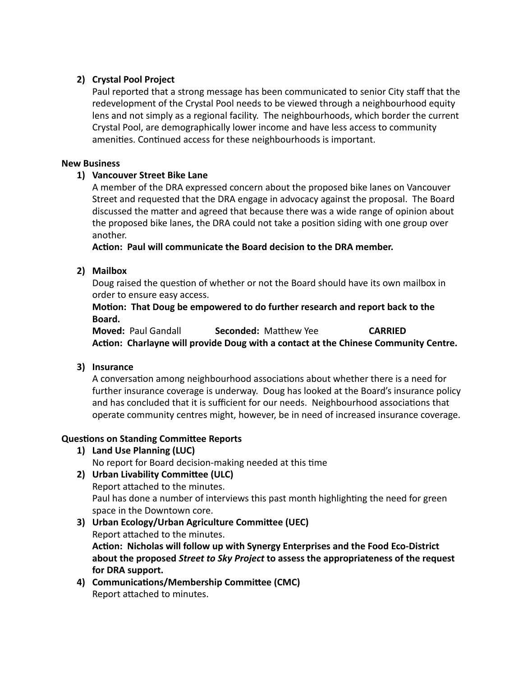# 2) Crystal Pool Project

Paul reported that a strong message has been communicated to senior City staff that the redevelopment of the Crystal Pool needs to be viewed through a neighbourhood equity lens and not simply as a regional facility. The neighbourhoods, which border the current Crystal Pool, are demographically lower income and have less access to community amenities. Continued access for these neighbourhoods is important.

## **New Business**

# 1) Vancouver Street Bike Lane

A member of the DRA expressed concern about the proposed bike lanes on Vancouver Street and requested that the DRA engage in advocacy against the proposal. The Board discussed the matter and agreed that because there was a wide range of opinion about the proposed bike lanes, the DRA could not take a position siding with one group over another. 

Action: Paul will communicate the Board decision to the DRA member.

# **2) Mailbox**

Doug raised the question of whether or not the Board should have its own mailbox in order to ensure easy access.

# **Motion: That Doug be empowered to do further research and report back to the** Board.

**Moved:** Paul Gandall **Seconded:** Matthew Yee **CARRIED** Action: Charlayne will provide Doug with a contact at the Chinese Community Centre.

# **3) Insurance**

A conversation among neighbourhood associations about whether there is a need for further insurance coverage is underway. Doug has looked at the Board's insurance policy and has concluded that it is sufficient for our needs. Neighbourhood associations that operate community centres might, however, be in need of increased insurance coverage.

# **Questions on Standing Committee Reports**

1) Land Use Planning (LUC)

No report for Board decision-making needed at this time

# **2)** Urban Livability Committee (ULC)

Report attached to the minutes. Paul has done a number of interviews this past month highlighting the need for green space in the Downtown core.

- **3)** Urban Ecology/Urban Agriculture Committee (UEC) Report attached to the minutes. Action: Nicholas will follow up with Synergy Enterprises and the Food Eco-District about the proposed *Street to Sky Project* to assess the appropriateness of the request for DRA support.
- 4) Communications/Membership Committee (CMC) Report attached to minutes.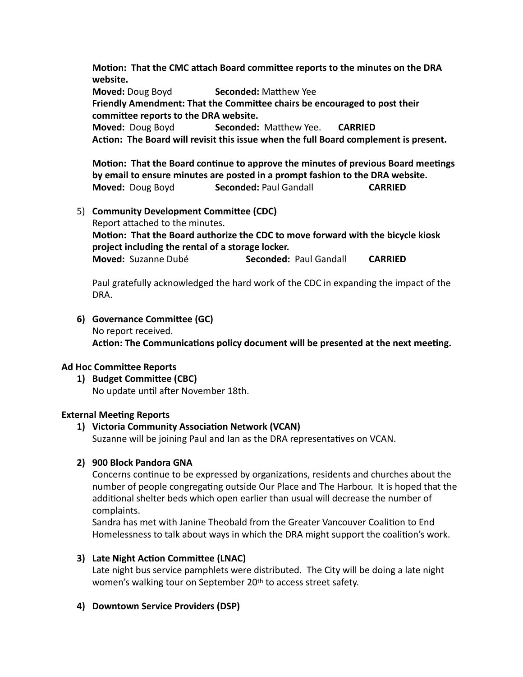**Motion: That the CMC attach Board committee reports to the minutes on the DRA website. Moved:** Doug Boyd **Seconded:** Matthew Yee Friendly Amendment: That the Committee chairs be encouraged to post their committee reports to the DRA website. **Moved:** Doug Boyd **Seconded:** Matthew Yee. **CARRIED** Action: The Board will revisit this issue when the full Board complement is present.

**Motion: That the Board continue to approve the minutes of previous Board meetings** by email to ensure minutes are posted in a prompt fashion to the DRA website. **Moved:** Doug Boyd **Seconded:** Paul Gandall **CARRIED** 

5) **Community Development Committee (CDC)** Report attached to the minutes. Motion: That the Board authorize the CDC to move forward with the bicycle kiosk **project including the rental of a storage locker. Moved:** Suzanne Dubé **Seconded:** Paul Gandall **CARRIED** 

Paul gratefully acknowledged the hard work of the CDC in expanding the impact of the DRA. 

**6)** Governance Committee (GC) No report received. Action: The Communications policy document will be presented at the next meeting.

### **Ad Hoc Committee Reports**

**1)** Budget Committee (CBC) No update until after November 18th.

### **External Meeting Reports**

# **1) Victoria Community Association Network (VCAN)**

Suzanne will be joining Paul and Ian as the DRA representatives on VCAN.

## **2) 900 Block Pandora GNA**

Concerns continue to be expressed by organizations, residents and churches about the number of people congregating outside Our Place and The Harbour. It is hoped that the additional shelter beds which open earlier than usual will decrease the number of complaints. 

Sandra has met with Janine Theobald from the Greater Vancouver Coalition to End Homelessness to talk about ways in which the DRA might support the coalition's work.

### **3)** Late Night Action Committee (LNAC)

Late night bus service pamphlets were distributed. The City will be doing a late night women's walking tour on September 20<sup>th</sup> to access street safety.

### **4) Downtown Service Providers (DSP)**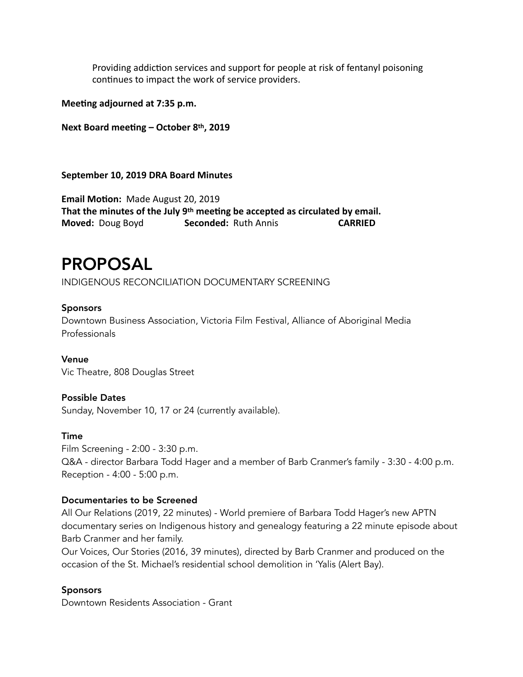Providing addiction services and support for people at risk of fentanyl poisoning continues to impact the work of service providers.

**Meeting adjourned at 7:35 p.m.** 

**Next Board meeting – October 8th, 2019** 

#### **September 10, 2019 DRA Board Minutes**

**Email Motion:** Made August 20, 2019 That the minutes of the July 9<sup>th</sup> meeting be accepted as circulated by email. **Moved:** Doug Boyd **Seconded:** Ruth Annis **CARRIED** 

# PROPOSAL

INDIGENOUS RECONCILIATION DOCUMENTARY SCREENING

# Sponsors

Downtown Business Association, Victoria Film Festival, Alliance of Aboriginal Media Professionals

Venue Vic Theatre, 808 Douglas Street

### Possible Dates

Sunday, November 10, 17 or 24 (currently available).

### Time

Film Screening - 2:00 - 3:30 p.m. Q&A - director Barbara Todd Hager and a member of Barb Cranmer's family - 3:30 - 4:00 p.m. Reception - 4:00 - 5:00 p.m.

### Documentaries to be Screened

All Our Relations (2019, 22 minutes) - World premiere of Barbara Todd Hager's new APTN documentary series on Indigenous history and genealogy featuring a 22 minute episode about Barb Cranmer and her family.

Our Voices, Our Stories (2016, 39 minutes), directed by Barb Cranmer and produced on the occasion of the St. Michael's residential school demolition in 'Yalis (Alert Bay).

### **Sponsors**

Downtown Residents Association - Grant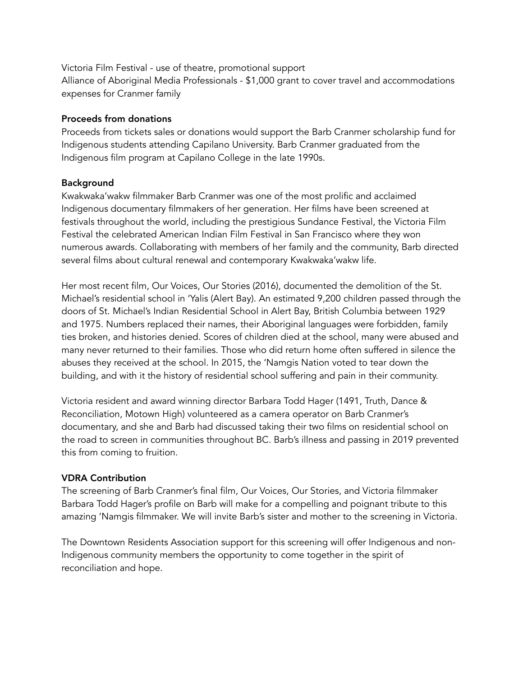Victoria Film Festival - use of theatre, promotional support Alliance of Aboriginal Media Professionals - \$1,000 grant to cover travel and accommodations expenses for Cranmer family

#### Proceeds from donations

Proceeds from tickets sales or donations would support the Barb Cranmer scholarship fund for Indigenous students attending Capilano University. Barb Cranmer graduated from the Indigenous film program at Capilano College in the late 1990s.

### Background

Kwakwaka'wakw filmmaker Barb Cranmer was one of the most prolific and acclaimed Indigenous documentary filmmakers of her generation. Her films have been screened at festivals throughout the world, including the prestigious Sundance Festival, the Victoria Film Festival the celebrated American Indian Film Festival in San Francisco where they won numerous awards. Collaborating with members of her family and the community, Barb directed several films about cultural renewal and contemporary Kwakwaka'wakw life.

Her most recent film, Our Voices, Our Stories (2016), documented the demolition of the St. Michael's residential school in 'Yalis (Alert Bay). An estimated 9,200 children passed through the doors of St. Michael's Indian Residential School in Alert Bay, British Columbia between 1929 and 1975. Numbers replaced their names, their Aboriginal languages were forbidden, family ties broken, and histories denied. Scores of children died at the school, many were abused and many never returned to their families. Those who did return home often suffered in silence the abuses they received at the school. In 2015, the 'Namgis Nation voted to tear down the building, and with it the history of residential school suffering and pain in their community.

Victoria resident and award winning director Barbara Todd Hager (1491, Truth, Dance & Reconciliation, Motown High) volunteered as a camera operator on Barb Cranmer's documentary, and she and Barb had discussed taking their two films on residential school on the road to screen in communities throughout BC. Barb's illness and passing in 2019 prevented this from coming to fruition.

### VDRA Contribution

The screening of Barb Cranmer's final film, Our Voices, Our Stories, and Victoria filmmaker Barbara Todd Hager's profile on Barb will make for a compelling and poignant tribute to this amazing 'Namgis filmmaker. We will invite Barb's sister and mother to the screening in Victoria.

The Downtown Residents Association support for this screening will offer Indigenous and non-Indigenous community members the opportunity to come together in the spirit of reconciliation and hope.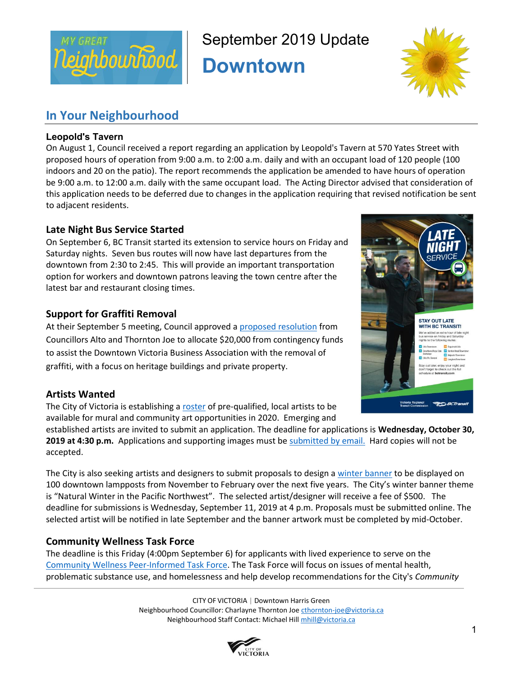

September 2019 Update

**Downtown** 



# **In Your Neighbourhood**

# **Leopold's Tavern**

On August 1, Council received a report regarding an application by Leopold's Tavern at 570 Yates Street with proposed hours of operation from 9:00 a.m. to 2:00 a.m. daily and with an occupant load of 120 people (100 indoors and 20 on the patio). The report recommends the application be amended to have hours of operation be 9:00 a.m. to 12:00 a.m. daily with the same occupant load. The Acting Director advised that consideration of this application needs to be deferred due to changes in the application requiring that revised notification be sent to adjacent residents.

# **Late Night Bus Service Started**

On September 6, BC Transit started its extension to service hours on Friday and Saturday nights. Seven bus routes will now have last departures from the downtown from 2:30 to 2:45. This will provide an important transportation option for workers and downtown patrons leaving the town centre after the latest bar and restaurant closing times.

# **Support for Graffiti Removal**

At their September 5 meeting, Council approved a proposed resolution from Councillors Alto and Thornton Joe to allocate \$20,000 from contingency funds to assist the Downtown Victoria Business Association with the removal of graffiti, with a focus on heritage buildings and private property.

# **Artists Wanted**

The City of Victoria is establishing a roster of pre-qualified, local artists to be available for mural and community art opportunities in 2020. Emerging and

established artists are invited to submit an application. The deadline for applications is **Wednesday, October 30, 2019 at 4:30 p.m.** Applications and supporting images must be submitted by email. Hard copies will not be accepted.

The City is also seeking artists and designers to submit proposals to design a winter banner to be displayed on 100 downtown lampposts from November to February over the next five years. The City's winter banner theme is "Natural Winter in the Pacific Northwest". The selected artist/designer will receive a fee of \$500. The deadline for submissions is Wednesday, September 11, 2019 at 4 p.m. Proposals must be submitted online. The selected artist will be notified in late September and the banner artwork must be completed by mid-October.

# **Community Wellness Task Force**

The deadline is this Friday (4:00pm September 6) for applicants with lived experience to serve on the Community Wellness Peer-Informed Task Force. The Task Force will focus on issues of mental health, problematic substance use, and homelessness and help develop recommendations for the City's *Community* 

> CITY OF VICTORIA | Downtown Harris Green Neighbourhood Councillor: Charlayne Thornton Joe cthornton-joe@victoria.ca Neighbourhood Staff Contact: Michael Hill mhill@victoria.ca



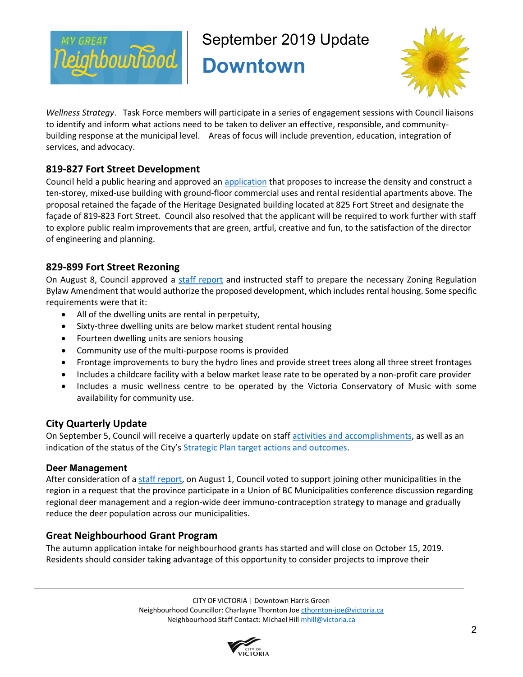

September 2019 Update

**Downtown** 



*Wellness Strategy*. Task Force members will participate in a series of engagement sessions with Council liaisons to identify and inform what actions need to be taken to deliver an effective, responsible, and communitybuilding response at the municipal level. Areas of focus will include prevention, education, integration of services, and advocacy.

# **819-827 Fort Street Development**

Council held a public hearing and approved an application that proposes to increase the density and construct a ten-storey, mixed-use building with ground-floor commercial uses and rental residential apartments above. The proposal retained the façade of the Heritage Designated building located at 825 Fort Street and designate the façade of 819-823 Fort Street. Council also resolved that the applicant will be required to work further with staff to explore public realm improvements that are green, artful, creative and fun, to the satisfaction of the director of engineering and planning.

# **829-899 Fort Street Rezoning**

On August 8, Council approved a staff report and instructed staff to prepare the necessary Zoning Regulation Bylaw Amendment that would authorize the proposed development, which includes rental housing. Some specific requirements were that it:

- All of the dwelling units are rental in perpetuity,
- Sixty-three dwelling units are below market student rental housing
- Fourteen dwelling units are seniors housing
- Community use of the multi-purpose rooms is provided
- Frontage improvements to bury the hydro lines and provide street trees along all three street frontages
- Includes a childcare facility with a below market lease rate to be operated by a non-profit care provider
- Includes a music wellness centre to be operated by the Victoria Conservatory of Music with some availability for community use.

# **City Quarterly Update**

On September 5, Council will receive a quarterly update on staff activities and accomplishments, as well as an indication of the status of the City's Strategic Plan target actions and outcomes.

# **Deer Management**

After consideration of a staff report, on August 1, Council voted to support joining other municipalities in the region in a request that the province participate in a Union of BC Municipalities conference discussion regarding regional deer management and a region-wide deer immuno-contraception strategy to manage and gradually reduce the deer population across our municipalities.

# **Great Neighbourhood Grant Program**

The autumn application intake for neighbourhood grants has started and will close on October 15, 2019. Residents should consider taking advantage of this opportunity to consider projects to improve their

> CITY OF VICTORIA | Downtown Harris Green Neighbourhood Councillor: Charlayne Thornton Joe cthornton-joe@victoria.ca Neighbourhood Staff Contact: Michael Hill mhill@victoria.ca

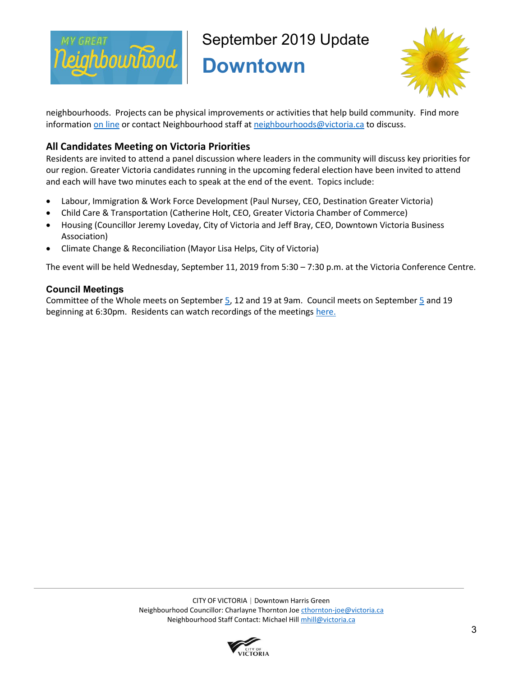

September 2019 Update

**Downtown** 



neighbourhoods. Projects can be physical improvements or activities that help build community. Find more information on line or contact Neighbourhood staff at neighbourhoods@victoria.ca to discuss.

# **All Candidates Meeting on Victoria Priorities**

Residents are invited to attend a panel discussion where leaders in the community will discuss key priorities for our region. Greater Victoria candidates running in the upcoming federal election have been invited to attend and each will have two minutes each to speak at the end of the event. Topics include:

- Labour, Immigration & Work Force Development (Paul Nursey, CEO, Destination Greater Victoria)
- Child Care & Transportation (Catherine Holt, CEO, Greater Victoria Chamber of Commerce)
- Housing (Councillor Jeremy Loveday, City of Victoria and Jeff Bray, CEO, Downtown Victoria Business Association)
- Climate Change & Reconciliation (Mayor Lisa Helps, City of Victoria)

The event will be held Wednesday, September 11, 2019 from 5:30 – 7:30 p.m. at the Victoria Conference Centre.

# **Council Meetings**

Committee of the Whole meets on September 5, 12 and 19 at 9am. Council meets on September 5 and 19 beginning at 6:30pm. Residents can watch recordings of the meetings here.

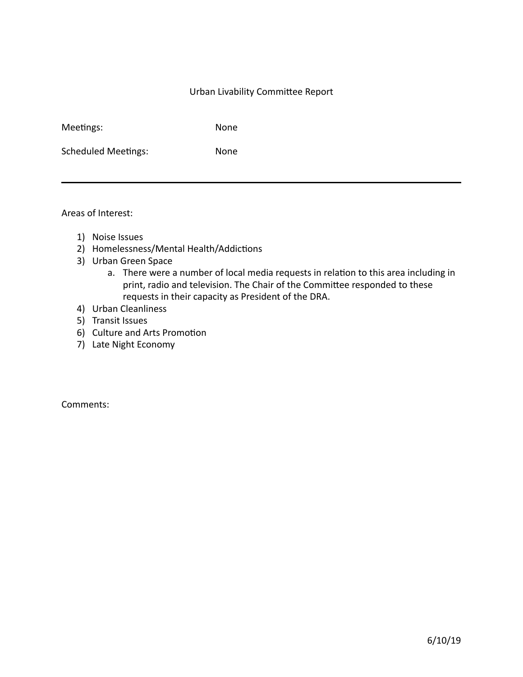## Urban Livability Committee Report

| Meetings: |  |
|-----------|--|
|           |  |
|           |  |

None

Scheduled Meetings: None

Areas of Interest:

- 1) Noise Issues
- 2) Homelessness/Mental Health/Addictions
- 3) Urban Green Space
	- a. There were a number of local media requests in relation to this area including in print, radio and television. The Chair of the Committee responded to these requests in their capacity as President of the DRA.
- 4) Urban Cleanliness
- 5) Transit Issues
- 6) Culture and Arts Promotion
- 7) Late Night Economy

Comments: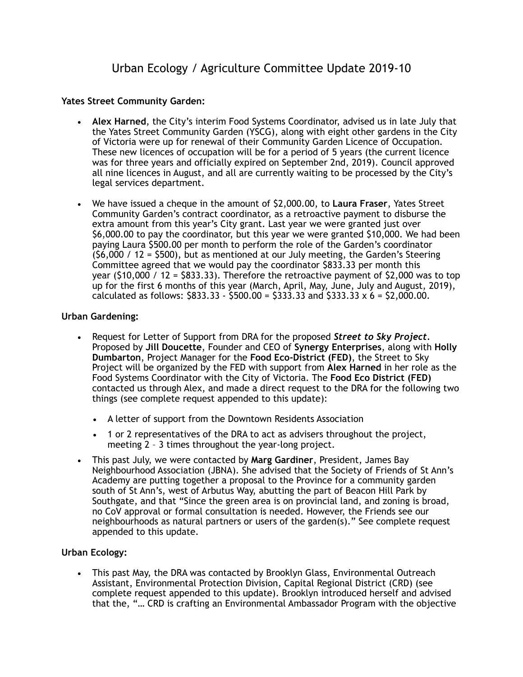# **Yates Street Community Garden:**

- **Alex Harned**, the City's interim Food Systems Coordinator, advised us in late July that the Yates Street Community Garden (YSCG), along with eight other gardens in the City of Victoria were up for renewal of their Community Garden Licence of Occupation. These new licences of occupation will be for a period of 5 years (the current licence was for three years and officially expired on September 2nd, 2019). Council approved all nine licences in August, and all are currently waiting to be processed by the City's legal services department.
- We have issued a cheque in the amount of \$2,000.00, to **Laura Fraser**, Yates Street Community Garden's contract coordinator, as a retroactive payment to disburse the extra amount from this year's City grant. Last year we were granted just over \$6,000.00 to pay the coordinator, but this year we were granted \$10,000. We had been paying Laura \$500.00 per month to perform the role of the Garden's coordinator  $(56,000 / 12 = 5500)$ , but as mentioned at our July meeting, the Garden's Steering Committee agreed that we would pay the coordinator \$833.33 per month this year  $(510,000 / 12 = 5833.33)$ . Therefore the retroactive payment of  $$2,000$  was to top up for the first 6 months of this year (March, April, May, June, July and August, 2019), calculated as follows:  $$833.33 - $500.00 = $333.33$  and  $$333.33 \times 6 = $2,000.00$ .

# **Urban Gardening:**

- Request for Letter of Support from DRA for the proposed *Street to Sky Project.* Proposed by **Jill Doucette**, Founder and CEO of **Synergy Enterprises**, along with **Holly Dumbarton**, Project Manager for the **Food Eco-District (FED)**, the Street to Sky Project will be organized by the FED with support from **Alex Harned** in her role as the Food Systems Coordinator with the City of Victoria. The **Food Eco District (FED)**  contacted us through Alex, and made a direct request to the DRA for the following two things (see complete request appended to this update):
	- A letter of support from the Downtown Residents Association
	- 1 or 2 representatives of the DRA to act as advisers throughout the project, meeting 2 – 3 times throughout the year-long project.
- This past July, we were contacted by **Marg Gardiner**, President, James Bay Neighbourhood Association (JBNA). She advised that the Society of Friends of St Ann's Academy are putting together a proposal to the Province for a community garden south of St Ann's, west of Arbutus Way, abutting the part of Beacon Hill Park by Southgate, and that "Since the green area is on provincial land, and zoning is broad, no CoV approval or formal consultation is needed. However, the Friends see our neighbourhoods as natural partners or users of the garden(s)." See complete request appended to this update.

# **Urban Ecology:**

• This past May, the DRA was contacted by Brooklyn Glass, Environmental Outreach Assistant, Environmental Protection Division, Capital Regional District (CRD) (see complete request appended to this update). Brooklyn introduced herself and advised that the, "… CRD is crafting an Environmental Ambassador Program with the objective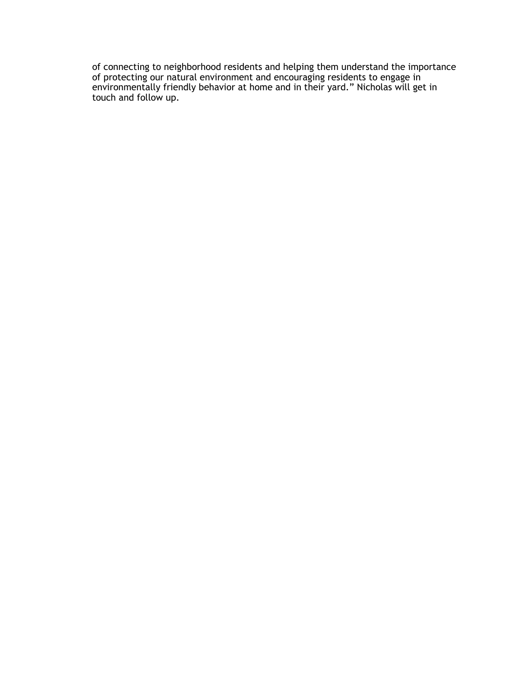of connecting to neighborhood residents and helping them understand the importance of protecting our natural environment and encouraging residents to engage in environmentally friendly behavior at home and in their yard." Nicholas will get in touch and follow up.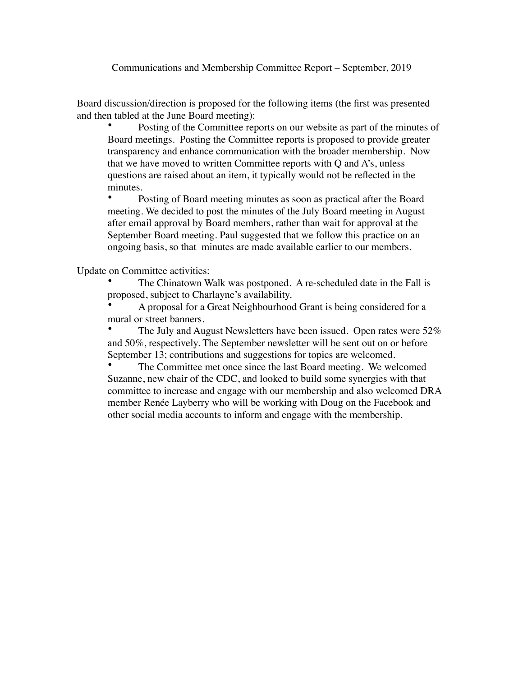Communications and Membership Committee Report – September, 2019

Board discussion/direction is proposed for the following items (the first was presented and then tabled at the June Board meeting):

Posting of the Committee reports on our website as part of the minutes of Board meetings. Posting the Committee reports is proposed to provide greater transparency and enhance communication with the broader membership. Now that we have moved to written Committee reports with Q and A's, unless questions are raised about an item, it typically would not be reflected in the minutes.

• Posting of Board meeting minutes as soon as practical after the Board meeting. We decided to post the minutes of the July Board meeting in August after email approval by Board members, rather than wait for approval at the September Board meeting. Paul suggested that we follow this practice on an ongoing basis, so that minutes are made available earlier to our members.

Update on Committee activities:

The Chinatown Walk was postponed. A re-scheduled date in the Fall is proposed, subject to Charlayne's availability.

• A proposal for a Great Neighbourhood Grant is being considered for a mural or street banners.

• The July and August Newsletters have been issued. Open rates were 52% and 50%, respectively. The September newsletter will be sent out on or before September 13; contributions and suggestions for topics are welcomed.

The Committee met once since the last Board meeting. We welcomed Suzanne, new chair of the CDC, and looked to build some synergies with that committee to increase and engage with our membership and also welcomed DRA member Renée Layberry who will be working with Doug on the Facebook and other social media accounts to inform and engage with the membership.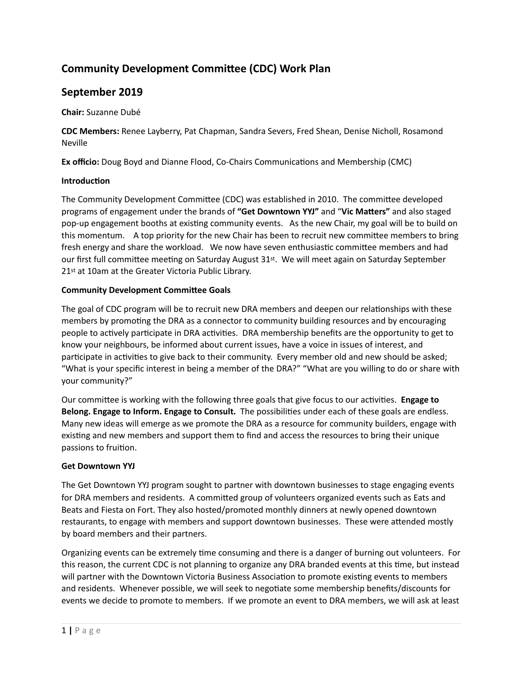# **Community Development Committee (CDC) Work Plan**

# September 2019

**Chair:** Suzanne Dubé 

**CDC Members:** Renee Layberry, Pat Chapman, Sandra Severs, Fred Shean, Denise Nicholl, Rosamond Neville 

**Ex officio:** Doug Boyd and Dianne Flood, Co-Chairs Communications and Membership (CMC)

#### **Introduction**

The Community Development Committee (CDC) was established in 2010. The committee developed programs of engagement under the brands of "Get Downtown YYJ" and "Vic Matters" and also staged pop-up engagement booths at existing community events. As the new Chair, my goal will be to build on this momentum. A top priority for the new Chair has been to recruit new committee members to bring fresh energy and share the workload. We now have seven enthusiastic committee members and had our first full committee meeting on Saturday August 31<sup>st</sup>. We will meet again on Saturday September 21<sup>st</sup> at 10am at the Greater Victoria Public Library.

#### **Community Development Committee Goals**

The goal of CDC program will be to recruit new DRA members and deepen our relationships with these members by promoting the DRA as a connector to community building resources and by encouraging people to actively participate in DRA activities. DRA membership benefits are the opportunity to get to know your neighbours, be informed about current issues, have a voice in issues of interest, and participate in activities to give back to their community. Every member old and new should be asked; "What is your specific interest in being a member of the DRA?" "What are you willing to do or share with your community?"

Our committee is working with the following three goals that give focus to our activities. Engage to **Belong. Engage to Inform. Engage to Consult.** The possibilities under each of these goals are endless. Many new ideas will emerge as we promote the DRA as a resource for community builders, engage with existing and new members and support them to find and access the resources to bring their unique passions to fruition.

### **Get Downtown YYJ**

The Get Downtown YYJ program sought to partner with downtown businesses to stage engaging events for DRA members and residents. A committed group of volunteers organized events such as Eats and Beats and Fiesta on Fort. They also hosted/promoted monthly dinners at newly opened downtown restaurants, to engage with members and support downtown businesses. These were attended mostly by board members and their partners.

Organizing events can be extremely time consuming and there is a danger of burning out volunteers. For this reason, the current CDC is not planning to organize any DRA branded events at this time, but instead will partner with the Downtown Victoria Business Association to promote existing events to members and residents. Whenever possible, we will seek to negotiate some membership benefits/discounts for events we decide to promote to members. If we promote an event to DRA members, we will ask at least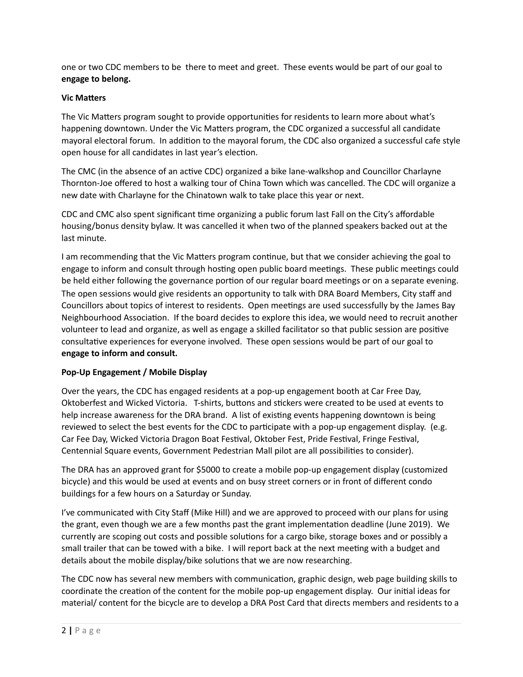one or two CDC members to be there to meet and greet. These events would be part of our goal to **engage to belong.** 

### **Vic Matters**

The Vic Matters program sought to provide opportunities for residents to learn more about what's happening downtown. Under the Vic Matters program, the CDC organized a successful all candidate mayoral electoral forum. In addition to the mayoral forum, the CDC also organized a successful cafe style open house for all candidates in last year's election.

The CMC (in the absence of an active CDC) organized a bike lane-walkshop and Councillor Charlayne Thornton-Joe offered to host a walking tour of China Town which was cancelled. The CDC will organize a new date with Charlayne for the Chinatown walk to take place this year or next.

CDC and CMC also spent significant time organizing a public forum last Fall on the City's affordable housing/bonus density bylaw. It was cancelled it when two of the planned speakers backed out at the last minute.

I am recommending that the Vic Matters program continue, but that we consider achieving the goal to engage to inform and consult through hosting open public board meetings. These public meetings could be held either following the governance portion of our regular board meetings or on a separate evening. The open sessions would give residents an opportunity to talk with DRA Board Members, City staff and Councillors about topics of interest to residents. Open meetings are used successfully by the James Bay Neighbourhood Association. If the board decides to explore this idea, we would need to recruit another volunteer to lead and organize, as well as engage a skilled facilitator so that public session are positive consultative experiences for everyone involved. These open sessions would be part of our goal to **engage to inform and consult.** 

# **Pop-Up Engagement / Mobile Display**

Over the years, the CDC has engaged residents at a pop-up engagement booth at Car Free Day, Oktoberfest and Wicked Victoria. T-shirts, buttons and stickers were created to be used at events to help increase awareness for the DRA brand. A list of existing events happening downtown is being reviewed to select the best events for the CDC to participate with a pop-up engagement display. (e.g. Car Fee Day, Wicked Victoria Dragon Boat Festival, Oktober Fest, Pride Festival, Fringe Festival, Centennial Square events, Government Pedestrian Mall pilot are all possibilities to consider).

The DRA has an approved grant for \$5000 to create a mobile pop-up engagement display (customized bicycle) and this would be used at events and on busy street corners or in front of different condo buildings for a few hours on a Saturday or Sunday.

I've communicated with City Staff (Mike Hill) and we are approved to proceed with our plans for using the grant, even though we are a few months past the grant implementation deadline (June 2019). We currently are scoping out costs and possible solutions for a cargo bike, storage boxes and or possibly a small trailer that can be towed with a bike. I will report back at the next meeting with a budget and details about the mobile display/bike solutions that we are now researching.

The CDC now has several new members with communication, graphic design, web page building skills to coordinate the creation of the content for the mobile pop-up engagement display. Our initial ideas for material/ content for the bicycle are to develop a DRA Post Card that directs members and residents to a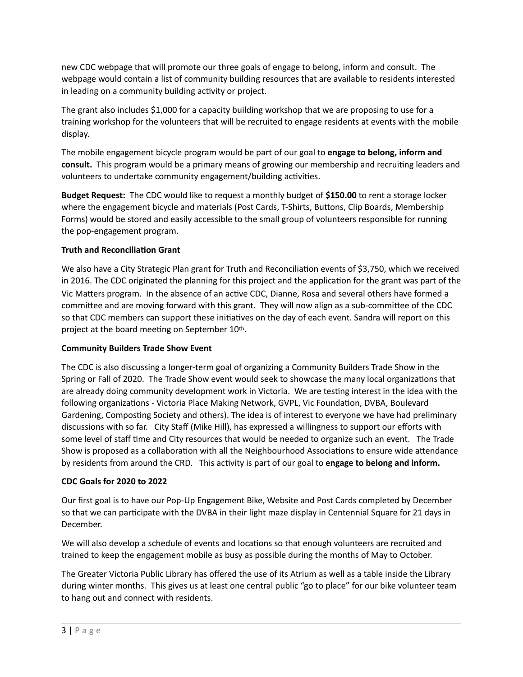new CDC webpage that will promote our three goals of engage to belong, inform and consult. The webpage would contain a list of community building resources that are available to residents interested in leading on a community building activity or project.

The grant also includes \$1,000 for a capacity building workshop that we are proposing to use for a training workshop for the volunteers that will be recruited to engage residents at events with the mobile display. 

The mobile engagement bicycle program would be part of our goal to **engage to belong, inform and consult.** This program would be a primary means of growing our membership and recruiting leaders and volunteers to undertake community engagement/building activities.

**Budget Request:** The CDC would like to request a monthly budget of \$150.00 to rent a storage locker where the engagement bicycle and materials (Post Cards, T-Shirts, Buttons, Clip Boards, Membership Forms) would be stored and easily accessible to the small group of volunteers responsible for running the pop-engagement program.

# **Truth and Reconciliation Grant**

We also have a City Strategic Plan grant for Truth and Reconciliation events of \$3,750, which we received in 2016. The CDC originated the planning for this project and the application for the grant was part of the Vic Matters program. In the absence of an active CDC, Dianne, Rosa and several others have formed a committee and are moving forward with this grant. They will now align as a sub-committee of the CDC so that CDC members can support these initiatives on the day of each event. Sandra will report on this project at the board meeting on September 10th.

### **Community Builders Trade Show Event**

The CDC is also discussing a longer-term goal of organizing a Community Builders Trade Show in the Spring or Fall of 2020. The Trade Show event would seek to showcase the many local organizations that are already doing community development work in Victoria. We are testing interest in the idea with the following organizations - Victoria Place Making Network, GVPL, Vic Foundation, DVBA, Boulevard Gardening, Composting Society and others). The idea is of interest to everyone we have had preliminary discussions with so far. City Staff (Mike Hill), has expressed a willingness to support our efforts with some level of staff time and City resources that would be needed to organize such an event. The Trade Show is proposed as a collaboration with all the Neighbourhood Associations to ensure wide attendance by residents from around the CRD. This activity is part of our goal to **engage to belong and inform.** 

### **CDC Goals for 2020 to 2022**

Our first goal is to have our Pop-Up Engagement Bike, Website and Post Cards completed by December so that we can participate with the DVBA in their light maze display in Centennial Square for 21 days in December. 

We will also develop a schedule of events and locations so that enough volunteers are recruited and trained to keep the engagement mobile as busy as possible during the months of May to October.

The Greater Victoria Public Library has offered the use of its Atrium as well as a table inside the Library during winter months. This gives us at least one central public "go to place" for our bike volunteer team to hang out and connect with residents.